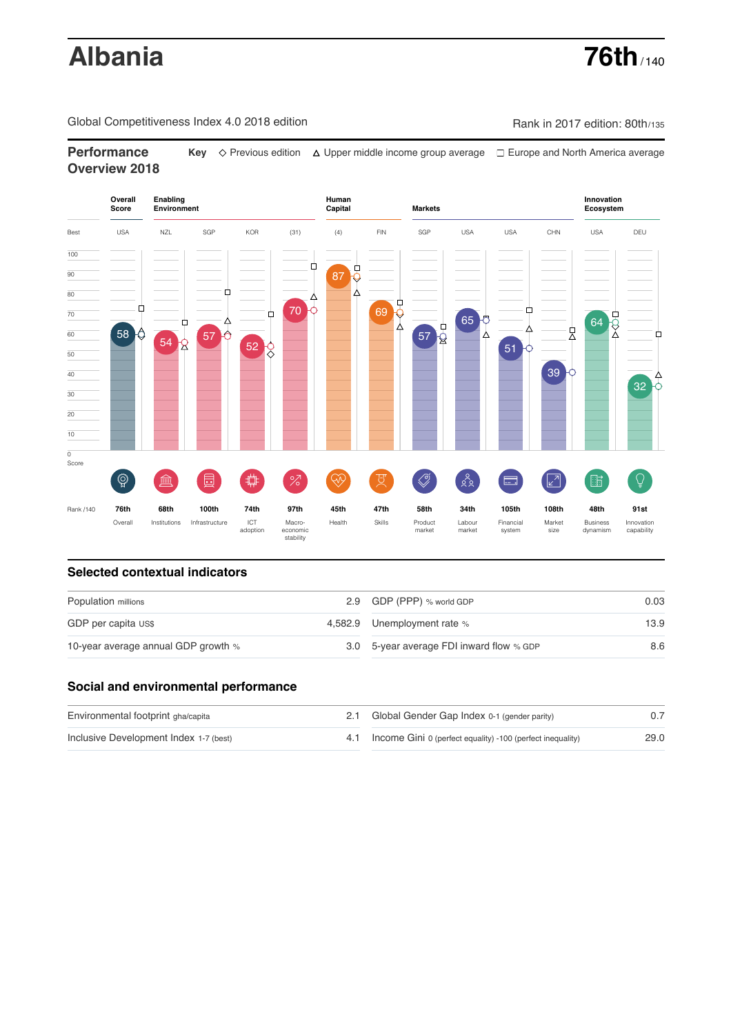# **Albania 76th** / 140

Global Competitiveness Index 4.0 2018 edition Company Rank in 2017 edition: 80th/135

**Performance** Key  $\Diamond$  Previous edition △ Upper middle income group average □ Europe and North America average **Overview 2018**



## **Selected contextual indicators**

| Population millions                 |  | 2.9 GDP (PPP) % world GDP                | 0.03 |  |
|-------------------------------------|--|------------------------------------------|------|--|
| GDP per capita US\$                 |  | 4,582.9 Unemployment rate %              | 13.9 |  |
| 10-year average annual GDP growth % |  | 3.0 5-year average FDI inward flow % GDP | 8.6  |  |

## **Social and environmental performance**

| Environmental footprint gha/capita     | 2.1 Global Gender Gap Index 0-1 (gender parity)                |      |
|----------------------------------------|----------------------------------------------------------------|------|
| Inclusive Development Index 1-7 (best) | 4.1 Income Gini 0 (perfect equality) -100 (perfect inequality) | 29.0 |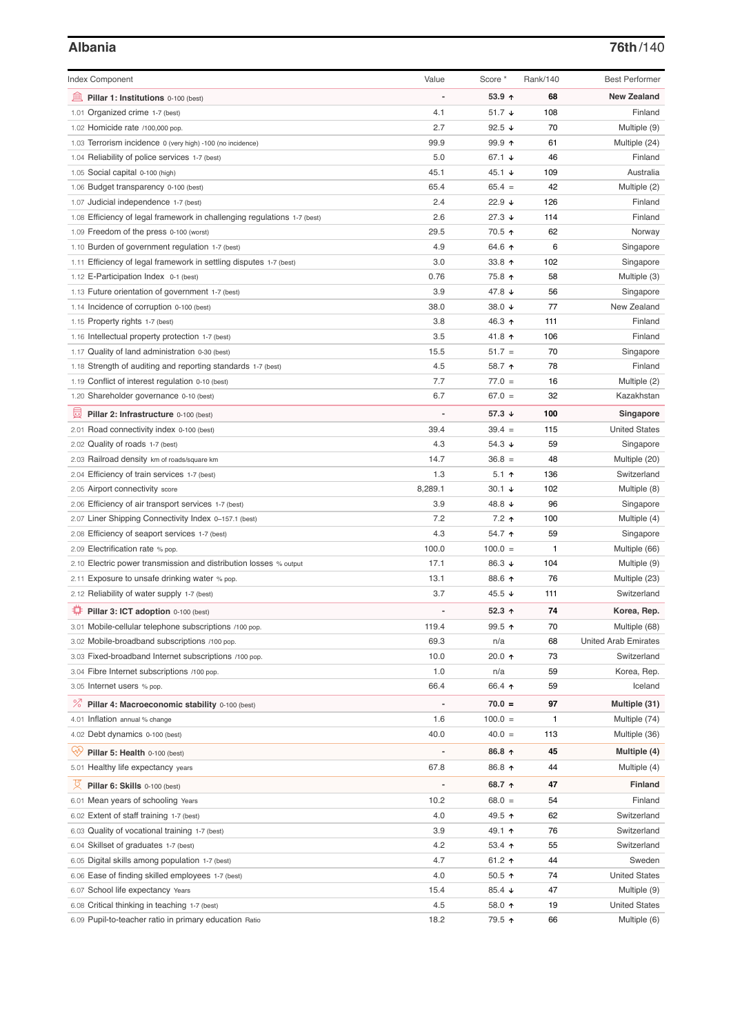| <b>Index Component</b>                                                   | Value   | Score *           | Rank/140 | <b>Best Performer</b>       |
|--------------------------------------------------------------------------|---------|-------------------|----------|-----------------------------|
| 寙<br>Pillar 1: Institutions 0-100 (best)                                 |         | $53.9$ 1          | 68       | <b>New Zealand</b>          |
| Organized crime 1-7 (best)<br>1.01                                       | 4.1     | 51.7 $\sqrt{ }$   | 108      | Finland                     |
| 1.02 Homicide rate /100,000 pop.                                         | 2.7     | 92.5 $\sqrt{ }$   | 70       | Multiple (9)                |
| 1.03 Terrorism incidence 0 (very high) -100 (no incidence)               | 99.9    | 99.9 <sub>0</sub> | 61       | Multiple (24)               |
| 1.04 Reliability of police services 1-7 (best)                           | 5.0     | 67.1 $\sqrt{ }$   | 46       | Finland                     |
| 1.05 Social capital 0-100 (high)                                         | 45.1    | 45.1 $\sqrt{ }$   | 109      | Australia                   |
| 1.06 Budget transparency 0-100 (best)                                    | 65.4    | $65.4 =$          | 42       | Multiple (2)                |
| 1.07 Judicial independence 1-7 (best)                                    | 2.4     | 22.9 $\sqrt{ }$   | 126      | Finland                     |
| 1.08 Efficiency of legal framework in challenging regulations 1-7 (best) | 2.6     | $27.3 +$          | 114      | Finland                     |
| 1.09 Freedom of the press 0-100 (worst)                                  | 29.5    | 70.5 ↑            | 62       | Norway                      |
| 1.10 Burden of government regulation 1-7 (best)                          | 4.9     | 64.6 ↑            | 6        | Singapore                   |
| 1.11 Efficiency of legal framework in settling disputes 1-7 (best)       | 3.0     | 33.8 $\uparrow$   | 102      | Singapore                   |
| 1.12 E-Participation Index 0-1 (best)                                    | 0.76    | 75.8 个            | 58       | Multiple (3)                |
| 1.13 Future orientation of government 1-7 (best)                         | 3.9     | 47.8 ↓            | 56       | Singapore                   |
| 1.14 Incidence of corruption 0-100 (best)                                | 38.0    | 38.0 $\sqrt{ }$   | 77       | New Zealand                 |
| 1.15 Property rights 1-7 (best)                                          | 3.8     | 46.3 ↑            | 111      | Finland                     |
| 1.16 Intellectual property protection 1-7 (best)                         | 3.5     | 41.8 ↑            | 106      | Finland                     |
| 1.17 Quality of land administration 0-30 (best)                          | 15.5    | $51.7 =$          | 70       | Singapore                   |
| 1.18 Strength of auditing and reporting standards 1-7 (best)             | 4.5     | 58.7 ↑            | 78       | Finland                     |
| 1.19 Conflict of interest regulation 0-10 (best)                         | 7.7     | $77.0 =$          | 16       | Multiple (2)                |
| 1.20 Shareholder governance 0-10 (best)                                  | 6.7     | $67.0 =$          | 32       | Kazakhstan                  |
|                                                                          |         |                   |          |                             |
| 員<br>Pillar 2: Infrastructure 0-100 (best)                               |         | 57.3 $\sqrt{ }$   | 100      | Singapore                   |
| 2.01 Road connectivity index 0-100 (best)                                | 39.4    | $39.4 =$          | 115      | <b>United States</b>        |
| 2.02 Quality of roads 1-7 (best)                                         | 4.3     | 54.3 $\sqrt{ }$   | 59       | Singapore                   |
| 2.03 Railroad density km of roads/square km                              | 14.7    | $36.8 =$          | 48       | Multiple (20)               |
| 2.04 Efficiency of train services 1-7 (best)                             | 1.3     | 5.1 $\uparrow$    | 136      | Switzerland                 |
| 2.05 Airport connectivity score                                          | 8,289.1 | $30.1 +$          | 102      | Multiple (8)                |
| 2.06 Efficiency of air transport services 1-7 (best)                     | 3.9     | 48.8 ↓            | 96       | Singapore                   |
| 2.07 Liner Shipping Connectivity Index 0-157.1 (best)                    | 7.2     | $7.2$ 1           | 100      | Multiple (4)                |
| 2.08 Efficiency of seaport services 1-7 (best)                           | 4.3     | 54.7 ↑            | 59       | Singapore                   |
| 2.09 Electrification rate % pop.                                         | 100.0   | $100.0 =$         | 1        | Multiple (66)               |
| 2.10 Electric power transmission and distribution losses % output        | 17.1    | 86.3 ↓            | 104      | Multiple (9)                |
| 2.11 Exposure to unsafe drinking water % pop.                            | 13.1    | 88.6 ↑            | 76       | Multiple (23)               |
| 2.12 Reliability of water supply 1-7 (best)                              | 3.7     | 45.5 ↓            | 111      | Switzerland                 |
| O<br>Pillar 3: ICT adoption 0-100 (best)                                 |         | 52.3 $\uparrow$   | 74       | Korea, Rep.                 |
| 3.01 Mobile-cellular telephone subscriptions /100 pop.                   | 119.4   | $99.5$ ↑          | 70       | Multiple (68)               |
| 3.02 Mobile-broadband subscriptions /100 pop.                            | 69.3    | n/a               | 68       | <b>United Arab Emirates</b> |
| 3.03 Fixed-broadband Internet subscriptions /100 pop.                    | 10.0    | 20.0 ↑            | 73       | Switzerland                 |
| 3.04 Fibre Internet subscriptions /100 pop.                              | 1.0     | n/a               | 59       | Korea, Rep.                 |
| 3.05 Internet users % pop.                                               | 66.4    | 66.4 ↑            | 59       | Iceland                     |
| ℅<br>Pillar 4: Macroeconomic stability 0-100 (best)                      |         | $70.0 =$          | 97       | Multiple (31)               |
| 4.01 Inflation annual % change                                           | 1.6     | $100.0 =$         | 1        | Multiple (74)               |
| 4.02 Debt dynamics 0-100 (best)                                          | 40.0    | $40.0 =$          | 113      | Multiple (36)               |
| Qv<br>Pillar 5: Health 0-100 (best)                                      | -       | 86.8 个            | 45       | Multiple (4)                |
| 5.01 Healthy life expectancy years                                       | 67.8    | 86.8 个            | 44       | Multiple (4)                |
| 섯<br>Pillar 6: Skills 0-100 (best)                                       |         | 68.7 ↑            | 47       | Finland                     |
| 6.01 Mean years of schooling Years                                       | 10.2    | $68.0 =$          | 54       | Finland                     |
| 6.02 Extent of staff training 1-7 (best)                                 | 4.0     | 49.5 ↑            | 62       | Switzerland                 |
| 6.03 Quality of vocational training 1-7 (best)                           | 3.9     | 49.1 ↑            | 76       | Switzerland                 |
| 6.04 Skillset of graduates 1-7 (best)                                    | 4.2     | 53.4 $\uparrow$   | 55       | Switzerland                 |
| 6.05 Digital skills among population 1-7 (best)                          | 4.7     | 61.2 $\uparrow$   | 44       | Sweden                      |
| 6.06 Ease of finding skilled employees 1-7 (best)                        | 4.0     | $50.5$ ↑          | 74       | <b>United States</b>        |
| 6.07 School life expectancy Years                                        | 15.4    | 85.4 $\sqrt{ }$   | 47       | Multiple (9)                |
| 6.08 Critical thinking in teaching 1-7 (best)                            | 4.5     | 58.0 ↑            | 19       | <b>United States</b>        |
| 6.09 Pupil-to-teacher ratio in primary education Ratio                   | 18.2    | 79.5 ↑            | 66       | Multiple (6)                |